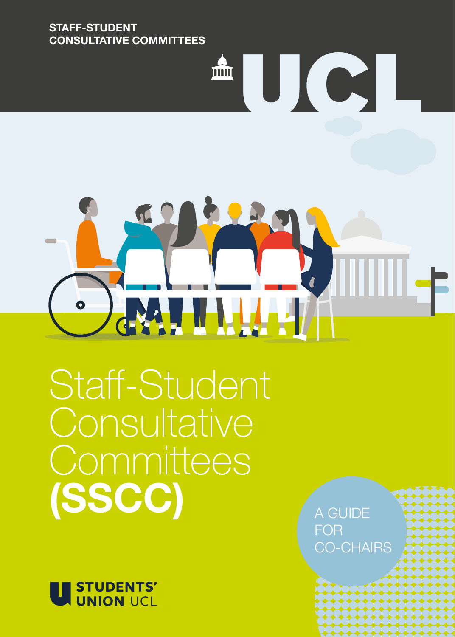#### **STAFF-STUDENT CONSULTATIVE COMMITTEES**

# ∭∭−

<sup>A</sup>UCI

Staff-Student **Consultative** Committees **(SSCC)**



A GUIDE FOR CO-CHAIRS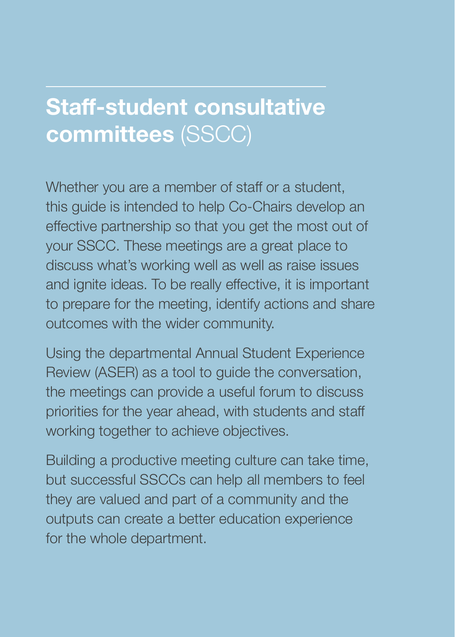## **Staff-student consultative committees** (SSCC)

Whether you are a member of staff or a student. this guide is intended to help Co-Chairs develop an effective partnership so that you get the most out of your SSCC. These meetings are a great place to discuss what's working well as well as raise issues and ignite ideas. To be really effective, it is important to prepare for the meeting, identify actions and share outcomes with the wider community.

Using the departmental Annual Student Experience Review (ASER) as a tool to guide the conversation, the meetings can provide a useful forum to discuss priorities for the year ahead, with students and staff working together to achieve objectives.

Building a productive meeting culture can take time, but successful SSCCs can help all members to feel they are valued and part of a community and the outputs can create a better education experience for the whole department.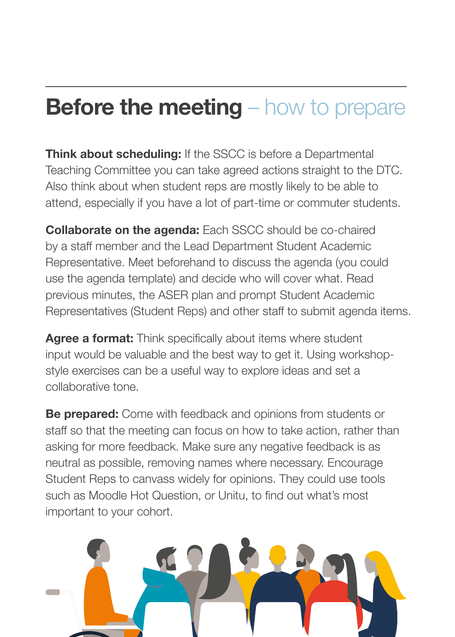# **Before the meeting** – how to prepare

**Think about scheduling:** If the SSCC is before a Departmental Teaching Committee you can take agreed actions straight to the DTC. Also think about when student reps are mostly likely to be able to attend, especially if you have a lot of part-time or commuter students.

**Collaborate on the agenda:** Each SSCC should be co-chaired by a staff member and the Lead Department Student Academic Representative. Meet beforehand to discuss the agenda (you could use the agenda template) and decide who will cover what. Read previous minutes, the ASER plan and prompt Student Academic Representatives (Student Reps) and other staff to submit agenda items.

**Agree a format:** Think specifically about items where student input would be valuable and the best way to get it. Using workshopstyle exercises can be a useful way to explore ideas and set a collaborative tone.

**Be prepared:** Come with feedback and opinions from students or staff so that the meeting can focus on how to take action, rather than asking for more feedback. Make sure any negative feedback is as neutral as possible, removing names where necessary. Encourage Student Reps to canvass widely for opinions. They could use tools such as Moodle Hot Question, or Unitu, to find out what's most important to your cohort.

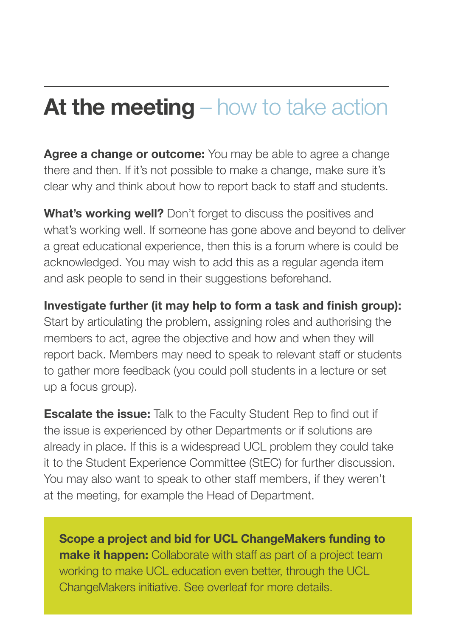# **At the meeting** – how to take action

**Agree a change or outcome:** You may be able to agree a change there and then. If it's not possible to make a change, make sure it's clear why and think about how to report back to staff and students.

**What's working well?** Don't forget to discuss the positives and what's working well. If someone has gone above and beyond to deliver a great educational experience, then this is a forum where is could be acknowledged. You may wish to add this as a regular agenda item and ask people to send in their suggestions beforehand.

**Investigate further (it may help to form a task and finish group):** Start by articulating the problem, assigning roles and authorising the members to act, agree the objective and how and when they will report back. Members may need to speak to relevant staff or students to gather more feedback (you could poll students in a lecture or set up a focus group).

**Escalate the issue:** Talk to the Faculty Student Rep to find out if the issue is experienced by other Departments or if solutions are already in place. If this is a widespread UCL problem they could take it to the Student Experience Committee (StEC) for further discussion. You may also want to speak to other staff members, if they weren't at the meeting, for example the Head of Department.

**Scope a project and bid for UCL ChangeMakers funding to make it happen:** Collaborate with staff as part of a project team working to make UCL education even better, through the UCL ChangeMakers initiative. See overleaf for more details.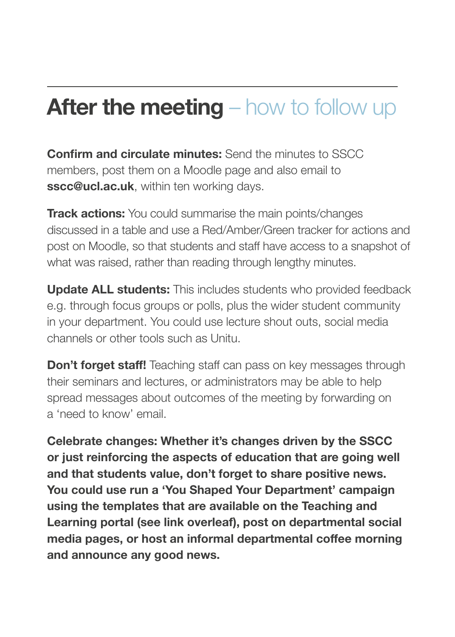# **After the meeting** – how to follow up

**Confirm and circulate minutes:** Send the minutes to SSCC members, post them on a Moodle page and also email to **sscc@ucl.ac.uk**, within ten working days.

**Track actions:** You could summarise the main points/changes discussed in a table and use a Red/Amber/Green tracker for actions and post on Moodle, so that students and staff have access to a snapshot of what was raised, rather than reading through lengthy minutes.

**Update ALL students:** This includes students who provided feedback e.g. through focus groups or polls, plus the wider student community in your department. You could use lecture shout outs, social media channels or other tools such as Unitu.

**Don't forget staff!** Teaching staff can pass on key messages through their seminars and lectures, or administrators may be able to help spread messages about outcomes of the meeting by forwarding on a 'need to know' email.

**Celebrate changes: Whether it's changes driven by the SSCC or just reinforcing the aspects of education that are going well and that students value, don't forget to share positive news. You could use run a 'You Shaped Your Department' campaign using the templates that are available on the Teaching and Learning portal (see link overleaf), post on departmental social media pages, or host an informal departmental coffee morning and announce any good news.**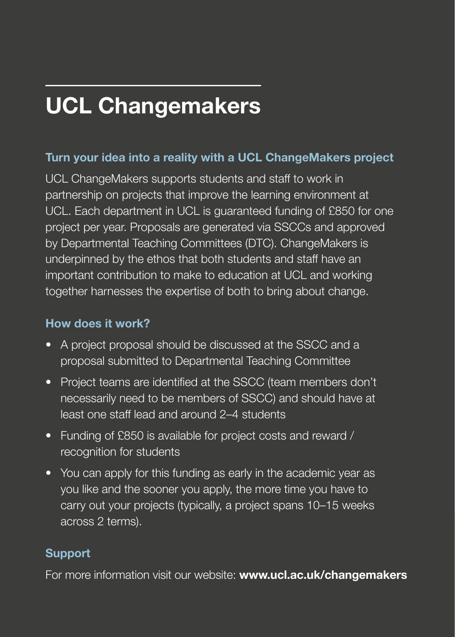# **UCL Changemakers**

#### **Turn your idea into a reality with a UCL ChangeMakers project**

UCL ChangeMakers supports students and staff to work in partnership on projects that improve the learning environment at UCL. Each department in UCL is guaranteed funding of £850 for one project per year. Proposals are generated via SSCCs and approved by Departmental Teaching Committees (DTC). ChangeMakers is underpinned by the ethos that both students and staff have an important contribution to make to education at UCL and working together harnesses the expertise of both to bring about change.

#### **How does it work?**

- A project proposal should be discussed at the SSCC and a proposal submitted to Departmental Teaching Committee
- Project teams are identified at the SSCC (team members don't necessarily need to be members of SSCC) and should have at least one staff lead and around 2–4 students
- Funding of £850 is available for project costs and reward / recognition for students
- You can apply for this funding as early in the academic year as you like and the sooner you apply, the more time you have to carry out your projects (typically, a project spans 10–15 weeks across 2 terms).

#### **Support**

For more information visit our website: **www.ucl.ac.uk/changemakers**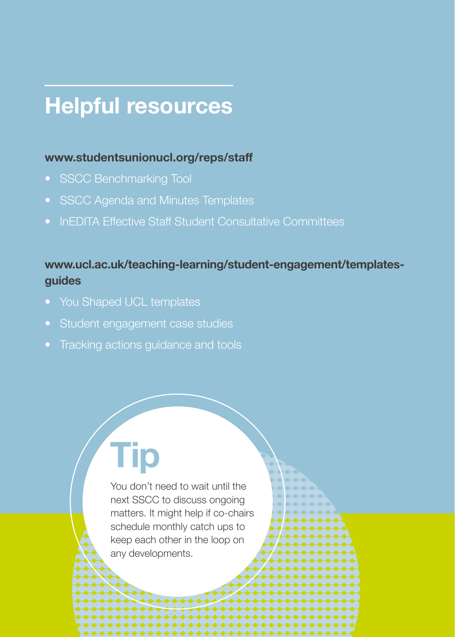# **Helpful resources**

#### **www.studentsunionucl.org/reps/staff**

- SSCC Benchmarking Tool
- SSCC Agenda and Minutes Templates
- InEDITA Effective Staff Student Consultative Committees

#### **www.ucl.ac.uk/teaching-learning/student-engagement/templatesguides**

- You Shaped UCL templates
- Student engagement case studies
- Tracking actions guidance and tools

**Tip**

You don't need to wait until the next SSCC to discuss ongoing matters. It might help if co-chairs schedule monthly catch ups to keep each other in the loop on any developments.